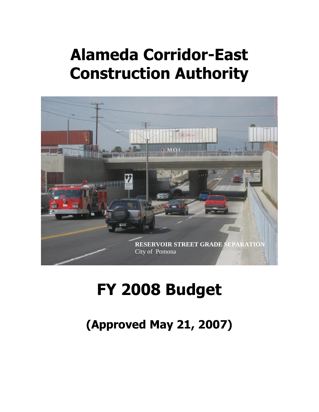# **Alameda Corridor-East Construction Authority**



# **FY 2008 Budget**

**(Approved May 21, 2007)**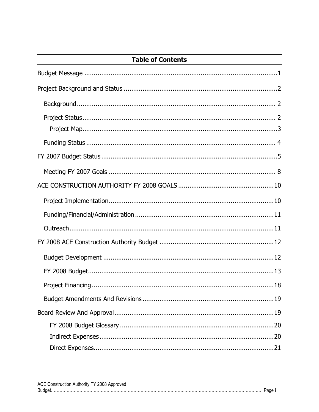| <b>Table of Contents</b> |
|--------------------------|
|                          |
|                          |
|                          |
|                          |
|                          |
|                          |
|                          |
|                          |
|                          |
|                          |
|                          |
|                          |
|                          |
|                          |
|                          |
|                          |
|                          |
|                          |
|                          |
|                          |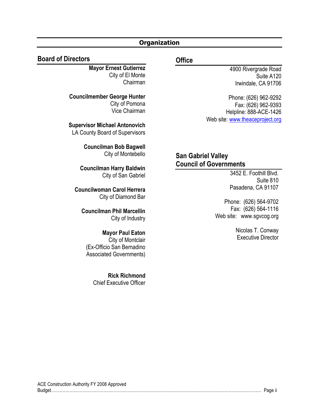#### **Organization**

#### **Board of Directors**

**Mayor Ernest Gutierrez** City of El Monte Chairman

**Councilmember George Hunter** City of Pomona Vice Chairman

**Supervisor Michael Antonovich** LA County Board of Supervisors

> **Councilman Bob Bagwell** City of Montebello

**Councilman Harry Baldwin** City of San Gabriel

**Councilwoman Carol Herrera** City of Diamond Bar

**Councilman Phil Marcellin** City of Industry

#### **Mayor Paul Eaton** City of Montclair (Ex-Officio San Bernadino Associated Governments)

**Rick Richmond** Chief Executive Officer

#### **Office**

4900 Rivergrade Road Suite A120 Irwindale, CA 91706

Phone: (626) 962-9292 Fax: (626) 962-9393 Helpline: 888-ACE-1426 Web site: [www.theaceproject.org](http://www.theaceproject.org/)

## **San Gabriel Valley Council of Governments**

3452 E. Foothill Blvd. Suite 810 Pasadena, CA 91107

Phone: (626) 564-9702 Fax: (626) 564-1116 Web site: www.sgvcog.org

> Nicolas T. Conway Executive Director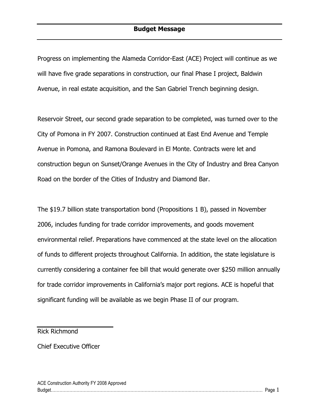Progress on implementing the Alameda Corridor-East (ACE) Project will continue as we will have five grade separations in construction, our final Phase I project, Baldwin Avenue, in real estate acquisition, and the San Gabriel Trench beginning design.

Reservoir Street, our second grade separation to be completed, was turned over to the City of Pomona in FY 2007. Construction continued at East End Avenue and Temple Avenue in Pomona, and Ramona Boulevard in El Monte. Contracts were let and construction begun on Sunset/Orange Avenues in the City of Industry and Brea Canyon Road on the border of the Cities of Industry and Diamond Bar.

The \$19.7 billion state transportation bond (Propositions 1 B), passed in November 2006, includes funding for trade corridor improvements, and goods movement environmental relief. Preparations have commenced at the state level on the allocation of funds to different projects throughout California. In addition, the state legislature is currently considering a container fee bill that would generate over \$250 million annually for trade corridor improvements in California's major port regions. ACE is hopeful that significant funding will be available as we begin Phase II of our program.

Rick Richmond

Chief Executive Officer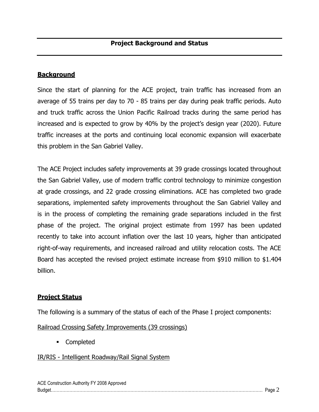#### **Background**

Since the start of planning for the ACE project, train traffic has increased from an average of 55 trains per day to 70 - 85 trains per day during peak traffic periods. Auto and truck traffic across the Union Pacific Railroad tracks during the same period has increased and is expected to grow by 40% by the project's design year (2020). Future traffic increases at the ports and continuing local economic expansion will exacerbate this problem in the San Gabriel Valley.

The ACE Project includes safety improvements at 39 grade crossings located throughout the San Gabriel Valley, use of modern traffic control technology to minimize congestion at grade crossings, and 22 grade crossing eliminations. ACE has completed two grade separations, implemented safety improvements throughout the San Gabriel Valley and is in the process of completing the remaining grade separations included in the first phase of the project. The original project estimate from 1997 has been updated recently to take into account inflation over the last 10 years, higher than anticipated right-of-way requirements, and increased railroad and utility relocation costs. The ACE Board has accepted the revised project estimate increase from \$910 million to \$1.404 billion.

#### **Project Status**

The following is a summary of the status of each of the Phase I project components:

Railroad Crossing Safety Improvements (39 crossings)

Completed

#### IR/RIS - Intelligent Roadway/Rail Signal System

| ACE Construction Authority FY 2008 Approved |  |
|---------------------------------------------|--|
| Budget                                      |  |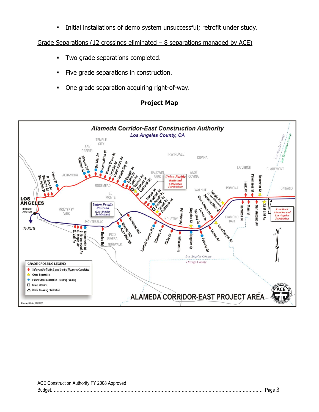**Initial installations of demo system unsuccessful; retrofit under study.** 

Grade Separations (12 crossings eliminated  $-$  8 separations managed by ACE)

- **Two grade separations completed.**
- Five grade separations in construction.
- One grade separation acquiring right-of-way.

#### **Project Map**

![](_page_5_Figure_6.jpeg)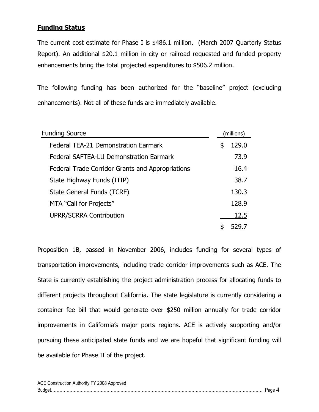#### **Funding Status**

The current cost estimate for Phase I is \$486.1 million. (March 2007 Quarterly Status Report). An additional \$20.1 million in city or railroad requested and funded property enhancements bring the total projected expenditures to \$506.2 million.

The following funding has been authorized for the "baseline" project (excluding enhancements). Not all of these funds are immediately available.

| <b>Funding Source</b>                            | (millions)  |
|--------------------------------------------------|-------------|
| <b>Federal TEA-21 Demonstration Earmark</b>      | \$<br>129.0 |
| <b>Federal SAFTEA-LU Demonstration Earmark</b>   | 73.9        |
| Federal Trade Corridor Grants and Appropriations | 16.4        |
| State Highway Funds (ITIP)                       | 38.7        |
| State General Funds (TCRF)                       | 130.3       |
| MTA "Call for Projects"                          | 128.9       |
| <b>UPRR/SCRRA Contribution</b>                   | 12.5        |
|                                                  |             |

Proposition 1B, passed in November 2006, includes funding for several types of transportation improvements, including trade corridor improvements such as ACE. The State is currently establishing the project administration process for allocating funds to different projects throughout California. The state legislature is currently considering a container fee bill that would generate over \$250 million annually for trade corridor improvements in California's major ports regions. ACE is actively supporting and/or pursuing these anticipated state funds and we are hopeful that significant funding will be available for Phase II of the project.

| ACE Construction Authority FY 2008 Approved |  |
|---------------------------------------------|--|
|                                             |  |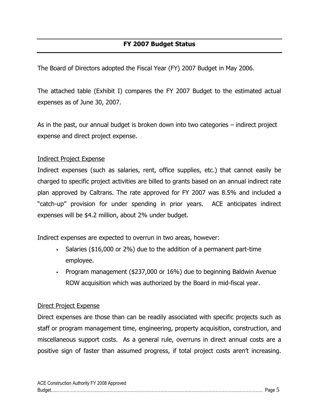## **FY 2007 Budget Status**

The Board of Directors adopted the Fiscal Year (FY) 2007 Budget in May 2006.

The attached table (Exhibit I) compares the FY 2007 Budget to the estimated actual expenses as of June 30, 2007.

As in the past, our annual budget is broken down into two categories – indirect project expense and direct project expense.

#### Indirect Project Expense

Indirect expenses (such as salaries, rent, office supplies, etc.) that cannot easily be charged to specific project activities are billed to grants based on an annual indirect rate plan approved by Caltrans. The rate approved for FY 2007 was 8.5% and included a "catch-up" provision for under spending in prior years. ACE anticipates indirect expenses will be \$4.2 million, about 2% under budget.

Indirect expenses are expected to overrun in two areas, however:

- Salaries (\$16,000 or 2%) due to the addition of a permanent part-time employee.
- Program management (\$237,000 or 16%) due to beginning Baldwin Avenue ROW acquisition which was authorized by the Board in mid-fiscal year.

#### Direct Project Expense

Direct expenses are those than can be readily associated with specific projects such as staff or program management time, engineering, property acquisition, construction, and miscellaneous support costs. As a general rule, overruns in direct annual costs are a positive sign of faster than assumed progress, if total project costs aren't increasing.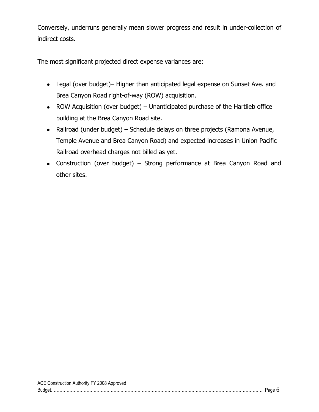Conversely, underruns generally mean slower progress and result in under-collection of indirect costs.

The most significant projected direct expense variances are:

- Legal (over budget)– Higher than anticipated legal expense on Sunset Ave. and Brea Canyon Road right-of-way (ROW) acquisition.
- ROW Acquisition (over budget) Unanticipated purchase of the Hartlieb office building at the Brea Canyon Road site.
- Railroad (under budget) Schedule delays on three projects (Ramona Avenue, Temple Avenue and Brea Canyon Road) and expected increases in Union Pacific Railroad overhead charges not billed as yet.
- Construction (over budget) Strong performance at Brea Canyon Road and other sites.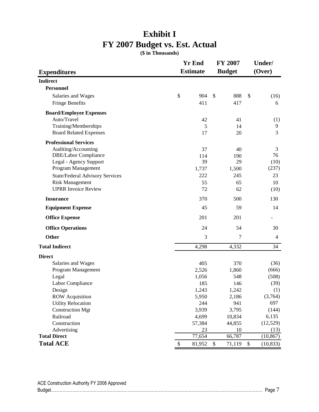# **Exhibit I FY 2007 Budget vs. Est. Actual**

**(\$ in Thousands)**

|                                        | <b>Yr End</b> |               | <b>FY 2007</b>       |        | Under/         |  |
|----------------------------------------|---------------|---------------|----------------------|--------|----------------|--|
| <b>Estimate</b><br><b>Expenditures</b> |               | <b>Budget</b> |                      | (Over) |                |  |
| <b>Indirect</b>                        |               |               |                      |        |                |  |
| <b>Personnel</b>                       |               |               |                      |        |                |  |
| Salaries and Wages                     | \$            | 904           | $\mathcal{S}$<br>888 | \$     | (16)           |  |
| <b>Fringe Benefits</b>                 |               | 411           | 417                  |        | 6              |  |
| <b>Board/Employee Expenses</b>         |               |               |                      |        |                |  |
| Auto/Travel                            |               | 42            | 41                   |        | (1)            |  |
| Training/Memberships                   |               | 5             | 14                   |        | 9              |  |
| <b>Board Related Expenses</b>          |               | 17            | 20                   |        | 3              |  |
| <b>Professional Services</b>           |               |               |                      |        |                |  |
| Auditing/Accounting                    |               | 37            | 40                   |        | 3              |  |
| <b>DBE/Labor Compliance</b>            |               | 114           | 190                  |        | 76             |  |
| Legal - Agency Support                 |               | 39            | 29                   |        | (10)           |  |
| Program Management                     |               | 1,737         | 1,500                |        | (237)          |  |
| <b>State/Federal Advisory Services</b> |               | 222           | 245                  |        | 23             |  |
| <b>Risk Management</b>                 |               | 55            | 65                   |        | 10             |  |
| <b>UPRR</b> Invoice Review             |               | 72            | 62                   |        | (10)           |  |
| <b>Insurance</b>                       |               | 370           | 500                  |        | 130            |  |
| <b>Equipment Expense</b>               |               | 45            | 59                   |        | 14             |  |
| <b>Office Expense</b>                  |               | 201           | 201                  |        |                |  |
| <b>Office Operations</b>               |               | 24            | 54                   |        | 30             |  |
| Other                                  |               | 3             | 7                    |        | $\overline{4}$ |  |
| <b>Total Indirect</b>                  |               | 4,298         | 4,332                |        | 34             |  |
| <b>Direct</b>                          |               |               |                      |        |                |  |
| Salaries and Wages                     |               | 405           | 370                  |        | (36)           |  |
| Program Management                     |               | 2,526         | 1,860                |        | (666)          |  |
| Legal                                  |               | 1,056         | 548                  |        | (508)          |  |
| Labor Compliance                       |               | 185           | 146                  |        | (39)           |  |
| Design                                 |               | 1,243         | 1,242                |        | (1)            |  |
| ROW Acquisition                        |               | 5,950         | 2,186                |        | (3,764)        |  |
| <b>Utility Relocation</b>              |               | 244           | 941                  |        | 697            |  |
| <b>Construction Mgt</b>                |               | 3,939         | 3,795                |        | (144)          |  |
| Railroad                               |               | 4,699         | 10,834               |        | 6,135          |  |
| Construction                           |               | 57,384        | 44,855               |        | (12, 529)      |  |
| Advertising                            |               | 23            | 10                   |        | (13)           |  |
| <b>Total Direct</b>                    |               | 77,654        | 66,787               |        | (10, 867)      |  |
| <b>Total ACE</b>                       | \$            | 81,952        | \$<br>71,119         | \$     | (10, 833)      |  |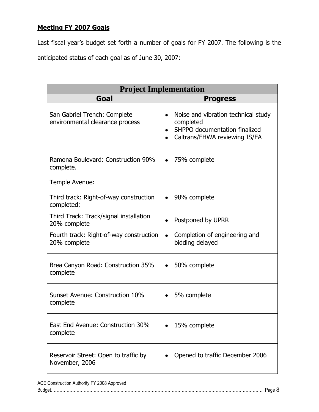## **Meeting FY 2007 Goals**

Last fiscal year"s budget set forth a number of goals for FY 2007. The following is the anticipated status of each goal as of June 30, 2007:

| <b>Project Implementation</b>                                   |                                                                                                                                 |  |  |
|-----------------------------------------------------------------|---------------------------------------------------------------------------------------------------------------------------------|--|--|
| Goal                                                            | <b>Progress</b>                                                                                                                 |  |  |
| San Gabriel Trench: Complete<br>environmental clearance process | Noise and vibration technical study<br>$\bullet$<br>completed<br>SHPPO documentation finalized<br>Caltrans/FHWA reviewing IS/EA |  |  |
| Ramona Boulevard: Construction 90%<br>complete.                 | 75% complete                                                                                                                    |  |  |
| Temple Avenue:                                                  |                                                                                                                                 |  |  |
| Third track: Right-of-way construction<br>completed;            | 98% complete                                                                                                                    |  |  |
| Third Track: Track/signal installation<br>20% complete          | Postponed by UPRR                                                                                                               |  |  |
| Fourth track: Right-of-way construction<br>20% complete         | Completion of engineering and<br>$\bullet$<br>bidding delayed                                                                   |  |  |
| Brea Canyon Road: Construction 35%<br>complete                  | 50% complete                                                                                                                    |  |  |
| Sunset Avenue: Construction 10%<br>complete                     | 5% complete                                                                                                                     |  |  |
| East End Avenue: Construction 30%<br>complete                   | 15% complete                                                                                                                    |  |  |
| Reservoir Street: Open to traffic by<br>November, 2006          | Opened to traffic December 2006                                                                                                 |  |  |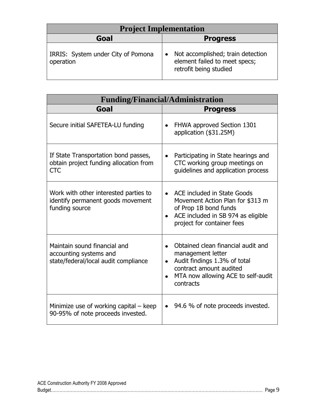| <b>Project Implementation</b>                   |                                                                                                           |  |  |
|-------------------------------------------------|-----------------------------------------------------------------------------------------------------------|--|--|
| Goal                                            | <b>Progress</b>                                                                                           |  |  |
| IRRIS: System under City of Pomona<br>operation | Not accomplished; train detection<br>$\bullet$<br>element failed to meet specs;<br>retrofit being studied |  |  |

| <b>Funding/Financial/Administration</b>                                                        |                                                                                                                                                                                                 |  |  |
|------------------------------------------------------------------------------------------------|-------------------------------------------------------------------------------------------------------------------------------------------------------------------------------------------------|--|--|
| Goal                                                                                           | <b>Progress</b>                                                                                                                                                                                 |  |  |
| Secure initial SAFETEA-LU funding                                                              | FHWA approved Section 1301<br>$\bullet$<br>application (\$31.25M)                                                                                                                               |  |  |
| If State Transportation bond passes,<br>obtain project funding allocation from<br><b>CTC</b>   | Participating in State hearings and<br>$\bullet$<br>CTC working group meetings on<br>guidelines and application process                                                                         |  |  |
| Work with other interested parties to<br>identify permanent goods movement<br>funding source   | ACE included in State Goods<br>$\bullet$<br>Movement Action Plan for \$313 m<br>of Prop 1B bond funds<br>ACE included in SB 974 as eligible<br>$\bullet$<br>project for container fees          |  |  |
| Maintain sound financial and<br>accounting systems and<br>state/federal/local audit compliance | Obtained clean financial audit and<br>$\bullet$<br>management letter<br>Audit findings 1.3% of total<br>$\bullet$<br>contract amount audited<br>MTA now allowing ACE to self-audit<br>contracts |  |  |
| Minimize use of working capital $-$ keep<br>90-95% of note proceeds invested.                  | 94.6 % of note proceeds invested.<br>$\bullet$                                                                                                                                                  |  |  |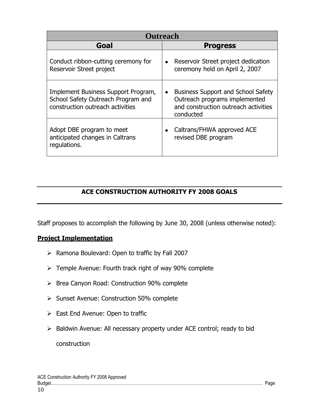| <b>Outreach</b>                                                                                               |                                                                                                                                              |  |  |
|---------------------------------------------------------------------------------------------------------------|----------------------------------------------------------------------------------------------------------------------------------------------|--|--|
| Goal                                                                                                          | <b>Progress</b>                                                                                                                              |  |  |
| Conduct ribbon-cutting ceremony for<br>Reservoir Street project                                               | Reservoir Street project dedication<br>$\bullet$<br>ceremony held on April 2, 2007                                                           |  |  |
| Implement Business Support Program,<br>School Safety Outreach Program and<br>construction outreach activities | <b>Business Support and School Safety</b><br>$\bullet$<br>Outreach programs implemented<br>and construction outreach activities<br>conducted |  |  |
| Adopt DBE program to meet<br>anticipated changes in Caltrans<br>regulations.                                  | Caltrans/FHWA approved ACE<br>revised DBE program                                                                                            |  |  |

## **ACE CONSTRUCTION AUTHORITY FY 2008 GOALS**

Staff proposes to accomplish the following by June 30, 2008 (unless otherwise noted):

## **Project Implementation**

- $\triangleright$  Ramona Boulevard: Open to traffic by Fall 2007
- > Temple Avenue: Fourth track right of way 90% complete
- ▶ Brea Canyon Road: Construction 90% complete
- ▶ Sunset Avenue: Construction 50% complete
- $\triangleright$  East End Avenue: Open to traffic
- $\triangleright$  Baldwin Avenue: All necessary property under ACE control; ready to bid construction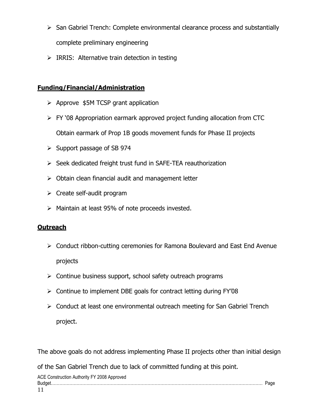- $\triangleright$  San Gabriel Trench: Complete environmental clearance process and substantially complete preliminary engineering
- $\triangleright$  IRRIS: Alternative train detection in testing

## **Funding/Financial/Administration**

- $\triangleright$  Approve \$5M TCSP grant application
- FY '08 Appropriation earmark approved project funding allocation from CTC Obtain earmark of Prop 1B goods movement funds for Phase II projects
- $\triangleright$  Support passage of SB 974
- $\triangleright$  Seek dedicated freight trust fund in SAFE-TEA reauthorization
- $\triangleright$  Obtain clean financial audit and management letter
- $\triangleright$  Create self-audit program
- $\triangleright$  Maintain at least 95% of note proceeds invested.

## **Outreach**

- Conduct ribbon-cutting ceremonies for Ramona Boulevard and East End Avenue projects
- $\triangleright$  Continue business support, school safety outreach programs
- $\triangleright$  Continue to implement DBE goals for contract letting during FY'08
- ▶ Conduct at least one environmental outreach meeting for San Gabriel Trench project.

The above goals do not address implementing Phase II projects other than initial design

of the San Gabriel Trench due to lack of committed funding at this point.

ACE Construction Authority FY 2008 Approved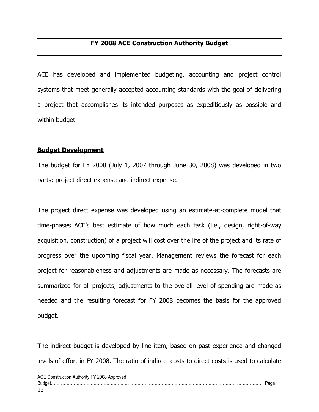## **FY 2008 ACE Construction Authority Budget**

ACE has developed and implemented budgeting, accounting and project control systems that meet generally accepted accounting standards with the goal of delivering a project that accomplishes its intended purposes as expeditiously as possible and within budget.

#### **Budget Development**

The budget for FY 2008 (July 1, 2007 through June 30, 2008) was developed in two parts: project direct expense and indirect expense.

The project direct expense was developed using an estimate-at-complete model that time-phases ACE"s best estimate of how much each task (i.e., design, right-of-way acquisition, construction) of a project will cost over the life of the project and its rate of progress over the upcoming fiscal year. Management reviews the forecast for each project for reasonableness and adjustments are made as necessary. The forecasts are summarized for all projects, adjustments to the overall level of spending are made as needed and the resulting forecast for FY 2008 becomes the basis for the approved budget.

The indirect budget is developed by line item, based on past experience and changed levels of effort in FY 2008. The ratio of indirect costs to direct costs is used to calculate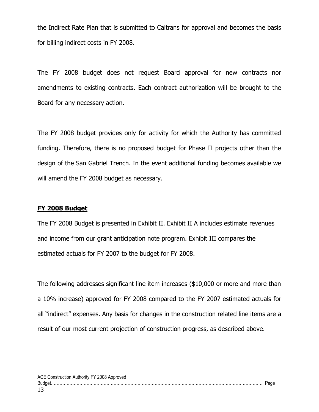the Indirect Rate Plan that is submitted to Caltrans for approval and becomes the basis for billing indirect costs in FY 2008.

The FY 2008 budget does not request Board approval for new contracts nor amendments to existing contracts. Each contract authorization will be brought to the Board for any necessary action.

The FY 2008 budget provides only for activity for which the Authority has committed funding. Therefore, there is no proposed budget for Phase II projects other than the design of the San Gabriel Trench. In the event additional funding becomes available we will amend the FY 2008 budget as necessary.

#### **FY 2008 Budget**

The FY 2008 Budget is presented in Exhibit II. Exhibit II A includes estimate revenues and income from our grant anticipation note program. Exhibit III compares the estimated actuals for FY 2007 to the budget for FY 2008.

The following addresses significant line item increases (\$10,000 or more and more than a 10% increase) approved for FY 2008 compared to the FY 2007 estimated actuals for all "indirect" expenses. Any basis for changes in the construction related line items are a result of our most current projection of construction progress, as described above.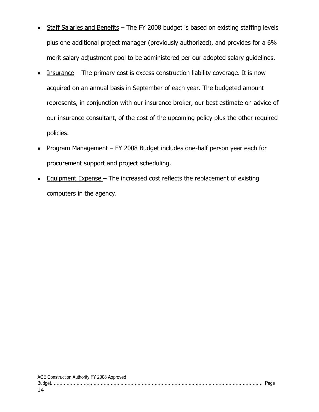- Staff Salaries and Benefits The FY 2008 budget is based on existing staffing levels plus one additional project manager (previously authorized), and provides for a 6% merit salary adjustment pool to be administered per our adopted salary guidelines.
- Insurance The primary cost is excess construction liability coverage. It is now  $\bullet$ acquired on an annual basis in September of each year. The budgeted amount represents, in conjunction with our insurance broker, our best estimate on advice of our insurance consultant, of the cost of the upcoming policy plus the other required policies.
- Program Management FY 2008 Budget includes one-half person year each for procurement support and project scheduling.
- Equipment Expense The increased cost reflects the replacement of existing computers in the agency.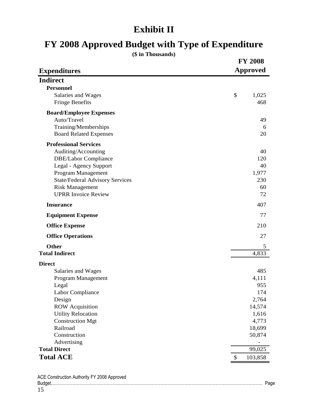# **Exhibit II**

# **FY 2008 Approved Budget with Type of Expenditure**

**(\$ in Thousands)**

|                                        | <b>FY 2008</b>  |
|----------------------------------------|-----------------|
| <b>Expenditures</b>                    | <b>Approved</b> |
| <b>Indirect</b>                        |                 |
| <b>Personnel</b>                       |                 |
| Salaries and Wages                     | \$<br>1,025     |
| <b>Fringe Benefits</b>                 | 468             |
| <b>Board/Employee Expenses</b>         |                 |
| Auto/Travel                            | 49              |
| Training/Memberships                   | 6               |
| <b>Board Related Expenses</b>          | 20              |
| <b>Professional Services</b>           |                 |
| Auditing/Accounting                    | 40              |
| <b>DBE/Labor Compliance</b>            | 120             |
| Legal - Agency Support                 | 40              |
| Program Management                     | 1,977           |
| <b>State/Federal Advisory Services</b> | 230             |
| <b>Risk Management</b>                 | 60              |
| <b>UPRR Invoice Review</b>             | 72              |
| <b>Insurance</b>                       | 407             |
| <b>Equipment Expense</b>               | 77              |
| <b>Office Expense</b>                  | 210             |
| <b>Office Operations</b>               | 27              |
| Other                                  | 5               |
| <b>Total Indirect</b>                  | 4,833           |
| <b>Direct</b>                          |                 |
| Salaries and Wages                     | 485             |
| Program Management                     | 4,111           |
| Legal                                  | 955             |
| Labor Compliance                       | 174             |
| Design                                 | 2,764           |
| <b>ROW</b> Acquisition                 | 14,574          |
| <b>Utility Relocation</b>              | 1,616           |
| <b>Construction Mgt</b>                | 4,773           |
| Railroad                               | 18,699          |
| Construction<br>Advertising            | 50,874          |
| <b>Total Direct</b>                    | 99,025          |
| <b>Total ACE</b>                       | \$<br>103,858   |
|                                        |                 |

| ACE Construction Authority FY 2008 Approved |  |
|---------------------------------------------|--|
|                                             |  |
|                                             |  |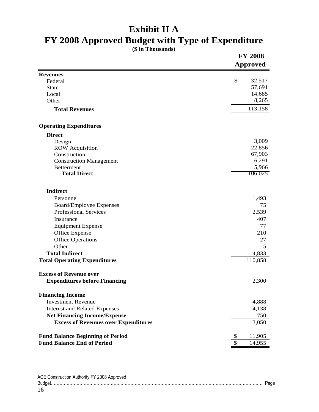# **Exhibit II A**

# **FY 2008 Approved Budget with Type of Expenditure**

**(\$ in Thousands)**

|                                             | <b>FY 2008</b><br><b>Approved</b> |  |
|---------------------------------------------|-----------------------------------|--|
| <b>Revenues</b>                             |                                   |  |
| Federal                                     | \$<br>32,517                      |  |
| State                                       | 57,691                            |  |
| Local                                       | 14,685                            |  |
| Other                                       | 8,265                             |  |
| <b>Total Revenues</b>                       | 113,158                           |  |
| <b>Operating Expenditures</b>               |                                   |  |
| <b>Direct</b>                               |                                   |  |
| Design                                      | 3,009                             |  |
| <b>ROW</b> Acquisition                      | 22,856                            |  |
| Construction                                | 67,903                            |  |
| <b>Construction Management</b>              | 6,291                             |  |
| <b>Betterment</b>                           | 5,966                             |  |
| <b>Total Direct</b>                         | 106,025                           |  |
| <b>Indirect</b>                             |                                   |  |
| Personnel                                   | 1,493                             |  |
| <b>Board/Employee Expenses</b>              | 75                                |  |
| <b>Professional Services</b>                | 2,539                             |  |
| Insurance                                   | 407                               |  |
| <b>Equipment Expense</b>                    | 77                                |  |
| <b>Office Expense</b>                       | 210                               |  |
| <b>Office Operations</b>                    | 27                                |  |
| Other                                       | 5                                 |  |
| <b>Total Indirect</b>                       | 4,833                             |  |
| <b>Total Operating Expenditures</b>         | 110,858                           |  |
| <b>Excess of Revenue over</b>               |                                   |  |
| <b>Expenditures before Financing</b>        | 2,300                             |  |
| <b>Financing Income</b>                     |                                   |  |
| <b>Investment Revenue</b>                   | 4,888                             |  |
| <b>Interest and Related Expenses</b>        | 4,138                             |  |
| <b>Net Financing Income/Expense</b>         | 750                               |  |
| <b>Excess of Revenues over Expenditures</b> | 3,050                             |  |
| <b>Fund Balance Beginning of Period</b>     | 11,905<br>\$                      |  |
| <b>Fund Balance End of Period</b>           | \$<br>14,955                      |  |

| ACE Construction Authority FY 2008 Approved |  |
|---------------------------------------------|--|
|                                             |  |
| 16                                          |  |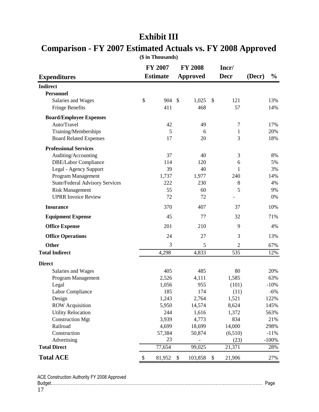| <b>Expenditures</b>                    | <b>FY 2007</b><br><b>Estimate</b> |               | <b>FY 2008</b><br>Approved |                           | Incr/<br><b>Decr</b> | (Decr) | $\frac{0}{0}$ |
|----------------------------------------|-----------------------------------|---------------|----------------------------|---------------------------|----------------------|--------|---------------|
| <b>Indirect</b>                        |                                   |               |                            |                           |                      |        |               |
| <b>Personnel</b>                       |                                   |               |                            |                           |                      |        |               |
| Salaries and Wages                     | \$<br>904                         | $\mathcal{S}$ | 1,025                      | $\boldsymbol{\mathsf{S}}$ | 121                  |        | 13%           |
| <b>Fringe Benefits</b>                 | 411                               |               | 468                        |                           | 57                   |        | 14%           |
| <b>Board/Employee Expenses</b>         |                                   |               |                            |                           |                      |        |               |
| Auto/Travel                            | 42                                |               | 49                         |                           | $\tau$               |        | 17%           |
| Training/Memberships                   | 5                                 |               | 6                          |                           | $\mathbf{1}$         |        | 20%           |
| <b>Board Related Expenses</b>          | 17                                |               | 20                         |                           | 3                    |        | 18%           |
| <b>Professional Services</b>           |                                   |               |                            |                           |                      |        |               |
| Auditing/Accounting                    | 37                                |               | 40                         |                           | $\mathfrak{Z}$       |        | 8%            |
| DBE/Labor Compliance                   | 114                               |               | 120                        |                           | 6                    |        | 5%            |
| Legal - Agency Support                 | 39                                |               | 40                         |                           | 1                    |        | 3%            |
| Program Management                     | 1,737                             |               | 1,977                      |                           | 240                  |        | 14%           |
| <b>State/Federal Advisory Services</b> | 222                               |               | 230                        |                           | $\,8\,$              |        | 4%            |
| <b>Risk Management</b>                 | 55                                |               | 60                         |                           | 5                    |        | 9%            |
| <b>UPRR</b> Invoice Review             | 72                                |               | 72                         |                           |                      |        | 0%            |
| <b>Insurance</b>                       | 370                               |               | 407                        |                           | 37                   |        | 10%           |
| <b>Equipment Expense</b>               | 45                                |               | 77                         |                           | 32                   |        | 71%           |
| <b>Office Expense</b>                  | 201                               |               | 210                        |                           | 9                    |        | 4%            |
| <b>Office Operations</b>               | 24                                |               | 27                         |                           | 3                    |        | 13%           |
| <b>Other</b>                           | 3                                 |               | 5                          |                           | $\overline{2}$       |        | 67%           |
| <b>Total Indirect</b>                  | 4,298                             |               | 4,833                      |                           | 535                  |        | 12%           |
| <b>Direct</b>                          |                                   |               |                            |                           |                      |        |               |
| Salaries and Wages                     | 405                               |               | 485                        |                           | 80                   |        | 20%           |
| Program Management                     | 2,526                             |               | 4,111                      |                           | 1,585                |        | 63%           |
| Legal                                  | 1,056                             |               | 955                        |                           | (101)                |        | $-10%$        |
| Labor Compliance                       | 185                               |               | 174                        |                           | (11)                 |        | $-6%$         |
| Design                                 | 1,243                             |               | 2,764                      |                           | 1,521                |        | 122%          |
| <b>ROW</b> Acquisition                 | 5,950                             |               | 14,574                     |                           | 8,624                |        | 145%          |
| <b>Utility Relocation</b>              | 244                               |               | 1,616                      |                           | 1,372                |        | 563%          |
| <b>Construction Mgt</b>                | 3,939                             |               | 4,773                      |                           | 834                  |        | 21%           |
| Railroad                               | 4,699                             |               | 18,699                     |                           | 14,000               |        | 298%          |
| Construction                           | 57,384                            |               | 50,874                     |                           | (6,510)              |        | $-11%$        |
| Advertising                            | 23                                |               | $\overline{\phantom{a}}$   |                           | (23)                 |        | $-100%$       |
| <b>Total Direct</b>                    | 77,654                            |               | 99,025                     |                           | 21,371               |        | 28%           |
| <b>Total ACE</b>                       | \$<br>81,952                      | \$            | 103,858                    | \$                        | 21,906               |        | 27%           |

# **Exhibit III**

## **Comparison - FY 2007 Estimated Actuals vs. FY 2008 Approved (\$ in Thousands)**

ACE Construction Authority FY 2008 Approved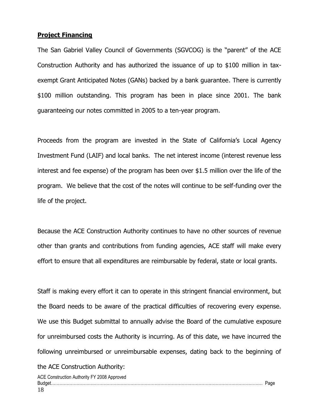#### **Project Financing**

The San Gabriel Valley Council of Governments (SGVCOG) is the "parent" of the ACE Construction Authority and has authorized the issuance of up to \$100 million in taxexempt Grant Anticipated Notes (GANs) backed by a bank guarantee. There is currently \$100 million outstanding. This program has been in place since 2001. The bank guaranteeing our notes committed in 2005 to a ten-year program.

Proceeds from the program are invested in the State of California's Local Agency Investment Fund (LAIF) and local banks. The net interest income (interest revenue less interest and fee expense) of the program has been over \$1.5 million over the life of the program. We believe that the cost of the notes will continue to be self-funding over the life of the project.

Because the ACE Construction Authority continues to have no other sources of revenue other than grants and contributions from funding agencies, ACE staff will make every effort to ensure that all expenditures are reimbursable by federal, state or local grants.

Staff is making every effort it can to operate in this stringent financial environment, but the Board needs to be aware of the practical difficulties of recovering every expense. We use this Budget submittal to annually advise the Board of the cumulative exposure for unreimbursed costs the Authority is incurring. As of this date, we have incurred the following unreimbursed or unreimbursable expenses, dating back to the beginning of

the ACE Construction Authority: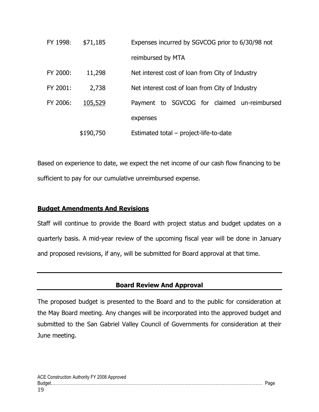| FY 1998: | \$71,185  | Expenses incurred by SGVCOG prior to 6/30/98 not |
|----------|-----------|--------------------------------------------------|
|          |           | reimbursed by MTA                                |
| FY 2000: | 11,298    | Net interest cost of loan from City of Industry  |
| FY 2001: | 2,738     | Net interest cost of loan from City of Industry  |
| FY 2006: | 105,529   | Payment to SGVCOG for claimed un-reimbursed      |
|          |           | expenses                                         |
|          | \$190,750 | Estimated total – project-life-to-date           |

Based on experience to date, we expect the net income of our cash flow financing to be sufficient to pay for our cumulative unreimbursed expense.

## **Budget Amendments And Revisions**

Staff will continue to provide the Board with project status and budget updates on a quarterly basis. A mid-year review of the upcoming fiscal year will be done in January and proposed revisions, if any, will be submitted for Board approval at that time.

## **Board Review And Approval**

The proposed budget is presented to the Board and to the public for consideration at the May Board meeting. Any changes will be incorporated into the approved budget and submitted to the San Gabriel Valley Council of Governments for consideration at their June meeting.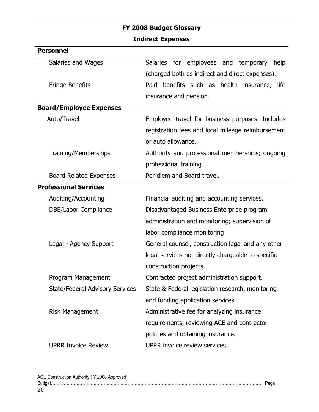# **FY 2008 Budget Glossary Indirect Expenses**

| <b>Personnel</b>                       |                                                        |
|----------------------------------------|--------------------------------------------------------|
| Salaries and Wages                     | <b>Salaries</b><br>for employees and temporary<br>help |
|                                        | (charged both as indirect and direct expenses).        |
| <b>Fringe Benefits</b>                 | benefits such as health insurance, life<br>Paid        |
|                                        | insurance and pension.                                 |
| <b>Board/Employee Expenses</b>         |                                                        |
| Auto/Travel                            | Employee travel for business purposes. Includes        |
|                                        | registration fees and local mileage reimbursement      |
|                                        | or auto allowance.                                     |
| Training/Memberships                   | Authority and professional memberships; ongoing        |
|                                        | professional training.                                 |
| <b>Board Related Expenses</b>          | Per diem and Board travel.                             |
| <b>Professional Services</b>           |                                                        |
| Auditing/Accounting                    | Financial auditing and accounting services.            |
| DBE/Labor Compliance                   | Disadvantaged Business Enterprise program              |
|                                        | administration and monitoring; supervision of          |
|                                        | labor compliance monitoring                            |
| Legal - Agency Support                 | General counsel, construction legal and any other      |
|                                        | legal services not directly chargeable to specific     |
|                                        | construction projects.                                 |
| Program Management                     | Contracted project administration support.             |
| <b>State/Federal Advisory Services</b> | State & Federal legislation research, monitoring       |
|                                        | and funding application services.                      |
| <b>Risk Management</b>                 | Administrative fee for analyzing insurance             |
|                                        | requirements, reviewing ACE and contractor             |
|                                        | policies and obtaining insurance.                      |
| <b>UPRR Invoice Review</b>             | UPRR invoice review services.                          |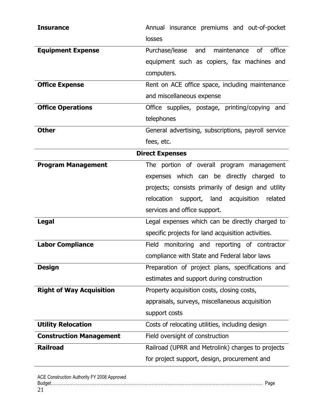| <b>Insurance</b>                | Annual insurance premiums and out-of-pocket           |
|---------------------------------|-------------------------------------------------------|
|                                 | losses                                                |
| <b>Equipment Expense</b>        | maintenance<br>0f<br>office<br>Purchase/lease and     |
|                                 | equipment such as copiers, fax machines and           |
|                                 | computers.                                            |
| <b>Office Expense</b>           | Rent on ACE office space, including maintenance       |
|                                 | and miscellaneous expense                             |
| <b>Office Operations</b>        | Office supplies, postage, printing/copying<br>and     |
|                                 | telephones                                            |
| <b>Other</b>                    | General advertising, subscriptions, payroll service   |
|                                 | fees, etc.                                            |
|                                 | <b>Direct Expenses</b>                                |
| <b>Program Management</b>       | The portion of overall program management             |
|                                 | expenses which can be directly charged to             |
|                                 | projects; consists primarily of design and utility    |
|                                 | relocation<br>acquisition<br>support, land<br>related |
|                                 | services and office support.                          |
| <b>Legal</b>                    | Legal expenses which can be directly charged to       |
|                                 | specific projects for land acquisition activities.    |
| <b>Labor Compliance</b>         | Field monitoring and reporting of contractor          |
|                                 | compliance with State and Federal labor laws          |
| <b>Design</b>                   | Preparation of project plans, specifications and      |
|                                 | estimates and support during construction             |
| <b>Right of Way Acquisition</b> | Property acquisition costs, closing costs,            |
|                                 | appraisals, surveys, miscellaneous acquisition        |
|                                 | support costs                                         |
| <b>Utility Relocation</b>       | Costs of relocating utilities, including design       |
| <b>Construction Management</b>  | Field oversight of construction                       |
| <b>Railroad</b>                 | Railroad (UPRR and Metrolink) charges to projects     |
|                                 | for project support, design, procurement and          |